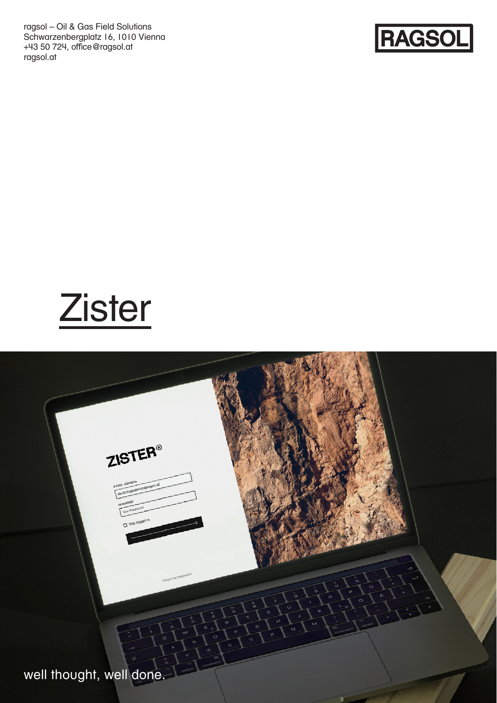ragsol – Oil & Gas Field Solutions Schwarzenbergplatz 16, 1010 Vienna +43 50 724, office@ragsol.at ragsol.at



**Zister** 

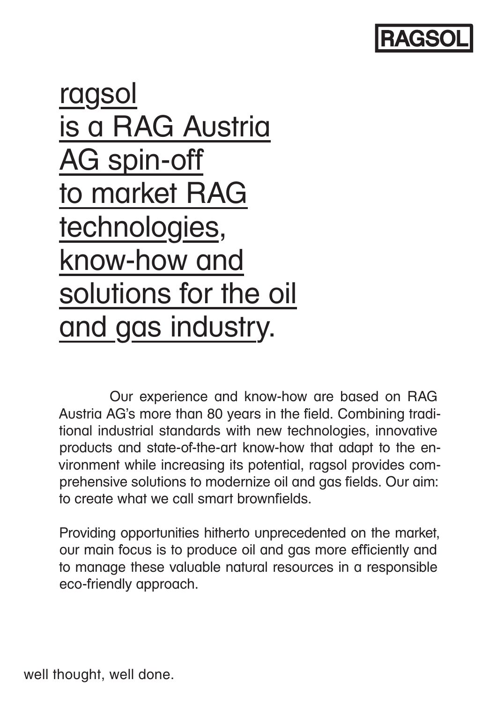

ragsol is a RAG Austria AG spin-off to market RAG technologies, know-how and solutions for the oil and gas industry.

Our experience and know-how are based on RAG Austria AG's more than 80 years in the field. Combining traditional industrial standards with new technologies, innovative products and state-of-the-art know-how that adapt to the environment while increasing its potential, ragsol provides comprehensive solutions to modernize oil and gas fields. Our aim: to create what we call smart brownfields.

Providing opportunities hitherto unprecedented on the market, our main focus is to produce oil and gas more efficiently and to manage these valuable natural resources in a responsible eco-friendly approach.

well thought, well done.